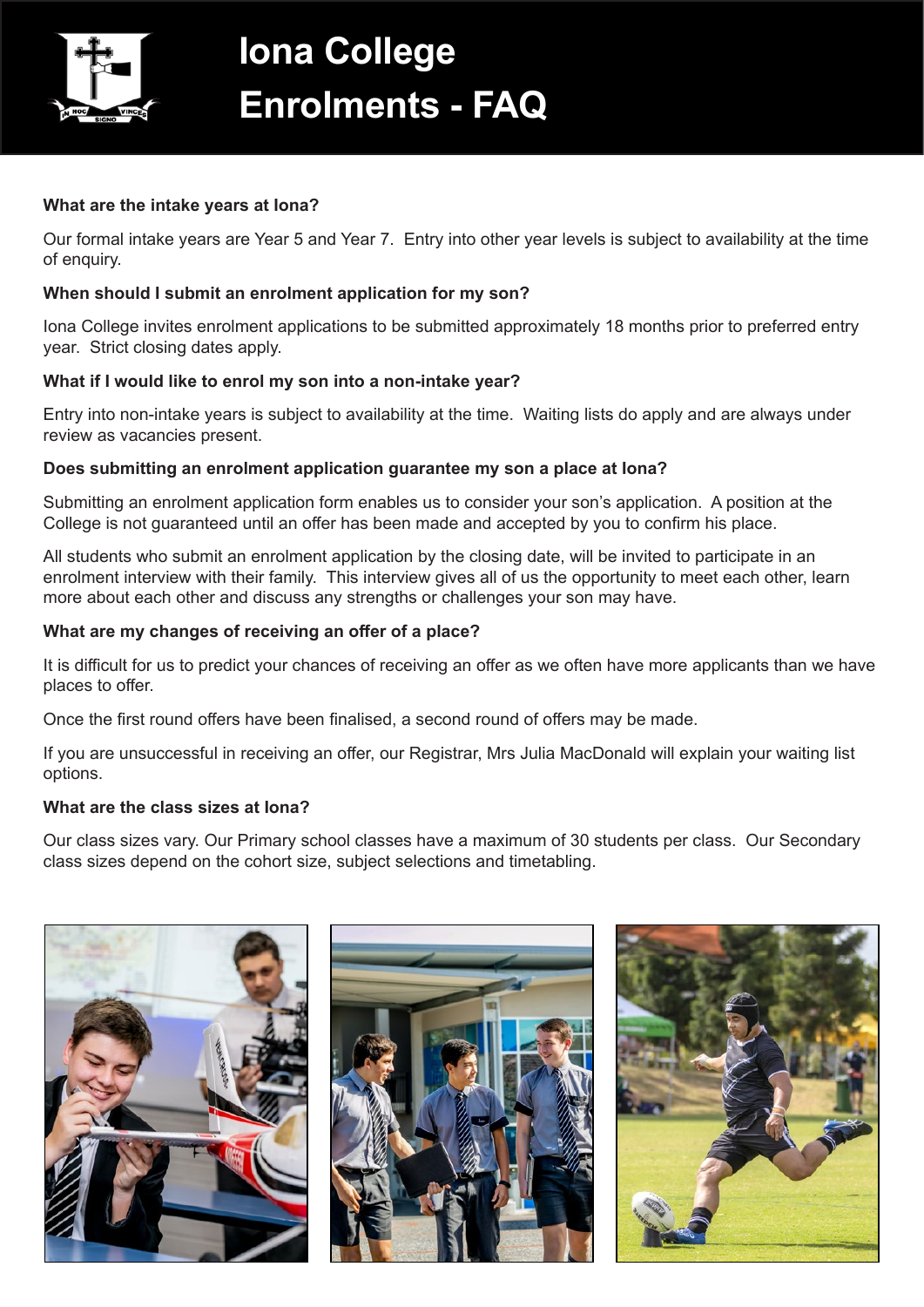

# **Iona College Enrolments - FAQ**

### **What are the intake years at Iona?**

Our formal intake years are Year 5 and Year 7. Entry into other year levels is subject to availability at the time of enquiry.

## **When should I submit an enrolment application for my son?**

Iona College invites enrolment applications to be submitted approximately 18 months prior to preferred entry year. Strict closing dates apply.

## **What if I would like to enrol my son into a non-intake year?**

Entry into non-intake years is subject to availability at the time. Waiting lists do apply and are always under review as vacancies present.

## **Does submitting an enrolment application guarantee my son a place at Iona?**

Submitting an enrolment application form enables us to consider your son's application. A position at the College is not guaranteed until an offer has been made and accepted by you to confirm his place.

All students who submit an enrolment application by the closing date, will be invited to participate in an enrolment interview with their family. This interview gives all of us the opportunity to meet each other, learn more about each other and discuss any strengths or challenges your son may have.

## **What are my changes of receiving an offer of a place?**

It is difficult for us to predict your chances of receiving an offer as we often have more applicants than we have places to offer.

Once the first round offers have been finalised, a second round of offers may be made.

If you are unsuccessful in receiving an offer, our Registrar, Mrs Julia MacDonald will explain your waiting list options.

## **What are the class sizes at Iona?**

Our class sizes vary. Our Primary school classes have a maximum of 30 students per class. Our Secondary class sizes depend on the cohort size, subject selections and timetabling.